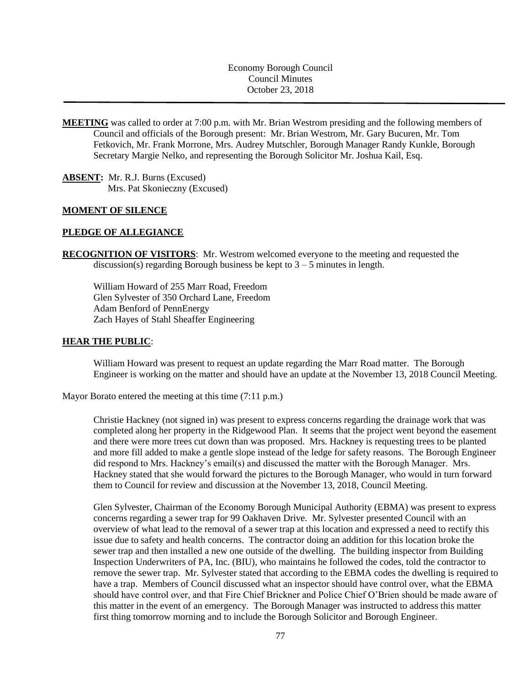Economy Borough Council Council Minutes October 23, 2018

**MEETING** was called to order at 7:00 p.m. with Mr. Brian Westrom presiding and the following members of Council and officials of the Borough present: Mr. Brian Westrom, Mr. Gary Bucuren, Mr. Tom Fetkovich, Mr. Frank Morrone, Mrs. Audrey Mutschler, Borough Manager Randy Kunkle, Borough Secretary Margie Nelko, and representing the Borough Solicitor Mr. Joshua Kail, Esq.

**ABSENT:** Mr. R.J. Burns (Excused) Mrs. Pat Skonieczny (Excused)

#### **MOMENT OF SILENCE**

## **PLEDGE OF ALLEGIANCE**

**RECOGNITION OF VISITORS**: Mr. Westrom welcomed everyone to the meeting and requested the discussion(s) regarding Borough business be kept to  $3 - 5$  minutes in length.

William Howard of 255 Marr Road, Freedom Glen Sylvester of 350 Orchard Lane, Freedom Adam Benford of PennEnergy Zach Hayes of Stahl Sheaffer Engineering

### **HEAR THE PUBLIC**:

William Howard was present to request an update regarding the Marr Road matter. The Borough Engineer is working on the matter and should have an update at the November 13, 2018 Council Meeting.

Mayor Borato entered the meeting at this time (7:11 p.m.)

Christie Hackney (not signed in) was present to express concerns regarding the drainage work that was completed along her property in the Ridgewood Plan. It seems that the project went beyond the easement and there were more trees cut down than was proposed. Mrs. Hackney is requesting trees to be planted and more fill added to make a gentle slope instead of the ledge for safety reasons. The Borough Engineer did respond to Mrs. Hackney's email(s) and discussed the matter with the Borough Manager. Mrs. Hackney stated that she would forward the pictures to the Borough Manager, who would in turn forward them to Council for review and discussion at the November 13, 2018, Council Meeting.

Glen Sylvester, Chairman of the Economy Borough Municipal Authority (EBMA) was present to express concerns regarding a sewer trap for 99 Oakhaven Drive. Mr. Sylvester presented Council with an overview of what lead to the removal of a sewer trap at this location and expressed a need to rectify this issue due to safety and health concerns. The contractor doing an addition for this location broke the sewer trap and then installed a new one outside of the dwelling. The building inspector from Building Inspection Underwriters of PA, Inc. (BIU), who maintains he followed the codes, told the contractor to remove the sewer trap. Mr. Sylvester stated that according to the EBMA codes the dwelling is required to have a trap. Members of Council discussed what an inspector should have control over, what the EBMA should have control over, and that Fire Chief Brickner and Police Chief O'Brien should be made aware of this matter in the event of an emergency. The Borough Manager was instructed to address this matter first thing tomorrow morning and to include the Borough Solicitor and Borough Engineer.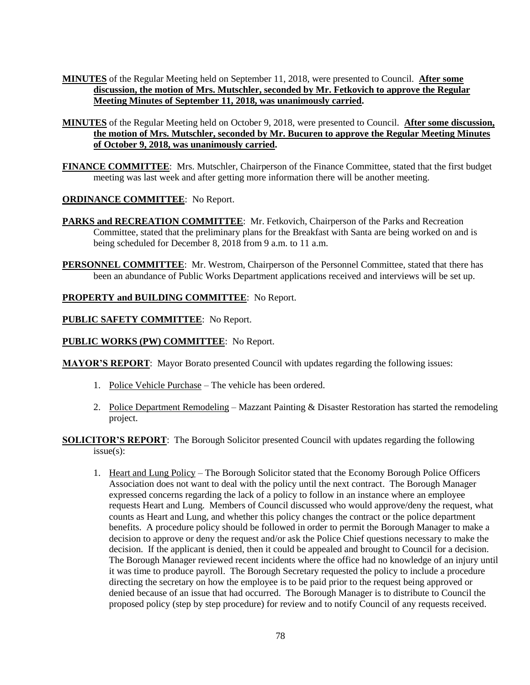- **MINUTES** of the Regular Meeting held on September 11, 2018, were presented to Council. **After some discussion, the motion of Mrs. Mutschler, seconded by Mr. Fetkovich to approve the Regular Meeting Minutes of September 11, 2018, was unanimously carried.**
- **MINUTES** of the Regular Meeting held on October 9, 2018, were presented to Council. **After some discussion, the motion of Mrs. Mutschler, seconded by Mr. Bucuren to approve the Regular Meeting Minutes of October 9, 2018, was unanimously carried.**
- **FINANCE COMMITTEE**: Mrs. Mutschler, Chairperson of the Finance Committee, stated that the first budget meeting was last week and after getting more information there will be another meeting.

# **ORDINANCE COMMITTEE**: No Report.

- **PARKS and RECREATION COMMITTEE**: Mr. Fetkovich, Chairperson of the Parks and Recreation Committee, stated that the preliminary plans for the Breakfast with Santa are being worked on and is being scheduled for December 8, 2018 from 9 a.m. to 11 a.m.
- **PERSONNEL COMMITTEE**: Mr. Westrom, Chairperson of the Personnel Committee, stated that there has been an abundance of Public Works Department applications received and interviews will be set up.

# **PROPERTY and BUILDING COMMITTEE**: No Report.

## **PUBLIC SAFETY COMMITTEE**: No Report.

# **PUBLIC WORKS (PW) COMMITTEE**: No Report.

**MAYOR'S REPORT**: Mayor Borato presented Council with updates regarding the following issues:

- 1. Police Vehicle Purchase The vehicle has been ordered.
- 2. Police Department Remodeling Mazzant Painting & Disaster Restoration has started the remodeling project.
- **SOLICITOR'S REPORT**: The Borough Solicitor presented Council with updates regarding the following issue(s):
	- 1. Heart and Lung Policy The Borough Solicitor stated that the Economy Borough Police Officers Association does not want to deal with the policy until the next contract. The Borough Manager expressed concerns regarding the lack of a policy to follow in an instance where an employee requests Heart and Lung. Members of Council discussed who would approve/deny the request, what counts as Heart and Lung, and whether this policy changes the contract or the police department benefits. A procedure policy should be followed in order to permit the Borough Manager to make a decision to approve or deny the request and/or ask the Police Chief questions necessary to make the decision. If the applicant is denied, then it could be appealed and brought to Council for a decision. The Borough Manager reviewed recent incidents where the office had no knowledge of an injury until it was time to produce payroll. The Borough Secretary requested the policy to include a procedure directing the secretary on how the employee is to be paid prior to the request being approved or denied because of an issue that had occurred. The Borough Manager is to distribute to Council the proposed policy (step by step procedure) for review and to notify Council of any requests received.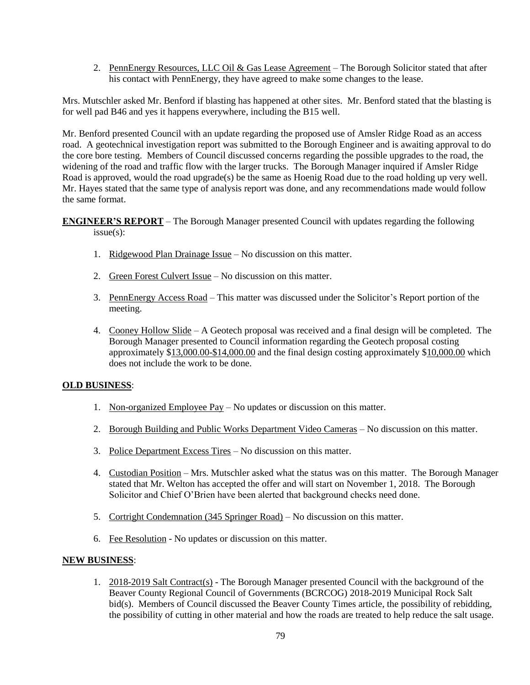2. PennEnergy Resources, LLC Oil & Gas Lease Agreement – The Borough Solicitor stated that after his contact with PennEnergy, they have agreed to make some changes to the lease.

Mrs. Mutschler asked Mr. Benford if blasting has happened at other sites. Mr. Benford stated that the blasting is for well pad B46 and yes it happens everywhere, including the B15 well.

Mr. Benford presented Council with an update regarding the proposed use of Amsler Ridge Road as an access road. A geotechnical investigation report was submitted to the Borough Engineer and is awaiting approval to do the core bore testing. Members of Council discussed concerns regarding the possible upgrades to the road, the widening of the road and traffic flow with the larger trucks. The Borough Manager inquired if Amsler Ridge Road is approved, would the road upgrade(s) be the same as Hoenig Road due to the road holding up very well. Mr. Hayes stated that the same type of analysis report was done, and any recommendations made would follow the same format.

**ENGINEER'S REPORT** – The Borough Manager presented Council with updates regarding the following issue(s):

- 1. Ridgewood Plan Drainage Issue No discussion on this matter.
- 2. Green Forest Culvert Issue No discussion on this matter.
- 3. PennEnergy Access Road This matter was discussed under the Solicitor's Report portion of the meeting.
- 4. Cooney Hollow Slide A Geotech proposal was received and a final design will be completed. The Borough Manager presented to Council information regarding the Geotech proposal costing approximately \$13,000.00-\$14,000.00 and the final design costing approximately \$10,000.00 which does not include the work to be done.

# **OLD BUSINESS**:

- 1. Non-organized Employee Pay No updates or discussion on this matter.
- 2. Borough Building and Public Works Department Video Cameras No discussion on this matter.
- 3. Police Department Excess Tires No discussion on this matter.
- 4. Custodian Position Mrs. Mutschler asked what the status was on this matter. The Borough Manager stated that Mr. Welton has accepted the offer and will start on November 1, 2018. The Borough Solicitor and Chief O'Brien have been alerted that background checks need done.
- 5. Cortright Condemnation (345 Springer Road) No discussion on this matter.
- 6. Fee Resolution No updates or discussion on this matter.

# **NEW BUSINESS**:

1. 2018-2019 Salt Contract(s) - The Borough Manager presented Council with the background of the Beaver County Regional Council of Governments (BCRCOG) 2018-2019 Municipal Rock Salt bid(s). Members of Council discussed the Beaver County Times article, the possibility of rebidding, the possibility of cutting in other material and how the roads are treated to help reduce the salt usage.